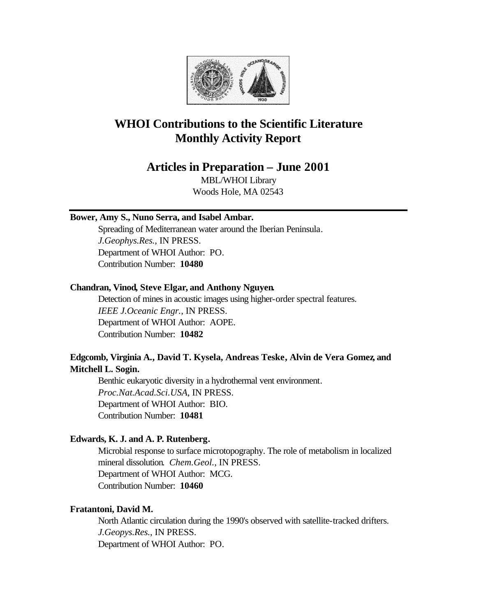

# **WHOI Contributions to the Scientific Literature Monthly Activity Report**

## **Articles in Preparation – June 2001**

MBL/WHOI Library Woods Hole, MA 02543

### **Bower, Amy S., Nuno Serra, and Isabel Ambar.**

Spreading of Mediterranean water around the Iberian Peninsula. *J.Geophys.Res.*, IN PRESS. Department of WHOI Author: PO. Contribution Number: **10480**

## **Chandran, Vinod, Steve Elgar, and Anthony Nguyen.**

Detection of mines in acoustic images using higher-order spectral features. *IEEE J.Oceanic Engr.*, IN PRESS. Department of WHOI Author: AOPE. Contribution Number: **10482**

## **Edgcomb, Virginia A., David T. Kysela, Andreas Teske, Alvin de Vera Gomez, and Mitchell L. Sogin.**

Benthic eukaryotic diversity in a hydrothermal vent environment. *Proc.Nat.Acad.Sci.USA*, IN PRESS. Department of WHOI Author: BIO. Contribution Number: **10481**

## **Edwards, K. J. and A. P. Rutenberg.**

Microbial response to surface microtopography. The role of metabolism in localized mineral dissolution. *Chem.Geol.*, IN PRESS. Department of WHOI Author: MCG. Contribution Number: **10460**

## **Fratantoni, David M.**

North Atlantic circulation during the 1990's observed with satellite-tracked drifters. *J.Geopys.Res.*, IN PRESS. Department of WHOI Author: PO.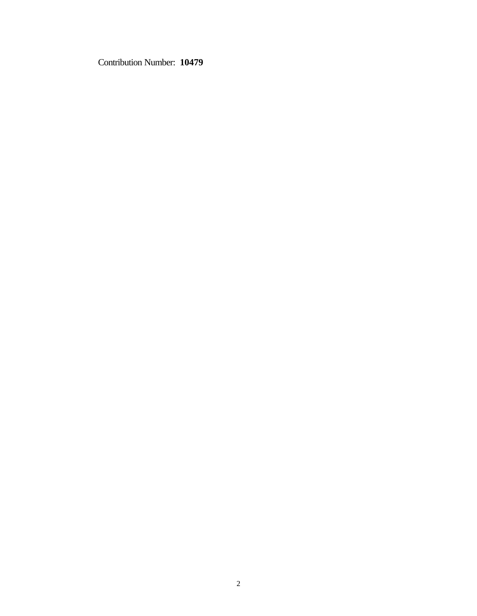Contribution Number: **10479**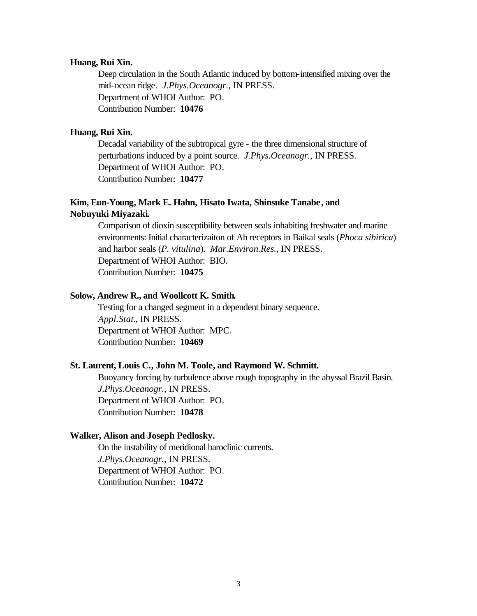#### **Huang, Rui Xin.**

Deep circulation in the South Atlantic induced by bottom-intensified mixing over the mid-ocean ridge. *J.Phys.Oceanogr.*, IN PRESS. Department of WHOI Author: PO. Contribution Number: **10476**

#### **Huang, Rui Xin.**

Decadal variability of the subtropical gyre - the three dimensional structure of perturbations induced by a point source. *J.Phys.Oceanogr.*, IN PRESS. Department of WHOI Author: PO. Contribution Number: **10477**

## **Kim, Eun-Young, Mark E. Hahn, Hisato Iwata, Shinsuke Tanabe, and Nobuyuki Miyazaki.**

Comparison of dioxin susceptibility between seals inhabiting freshwater and marine environments: Initial characterizaiton of Ah receptors in Baikal seals (*Phoca sibirica*) and harbor seals (*P. vitulina*). *Mar.Environ.Res.*, IN PRESS. Department of WHOI Author: BIO. Contribution Number: **10475**

#### **Solow, Andrew R., and Woollcott K. Smith.**

Testing for a changed segment in a dependent binary sequence. *Appl.Stat.*, IN PRESS. Department of WHOI Author: MPC. Contribution Number: **10469**

#### **St. Laurent, Louis C., John M. Toole, and Raymond W. Schmitt.**

Buoyancy forcing by turbulence above rough topography in the abyssal Brazil Basin. *J.Phys.Oceanogr.*, IN PRESS. Department of WHOI Author: PO. Contribution Number: **10478**

#### **Walker, Alison and Joseph Pedlosky.**

On the instability of meridional baroclinic currents. *J.Phys.Oceanogr.*, IN PRESS. Department of WHOI Author: PO. Contribution Number: **10472**